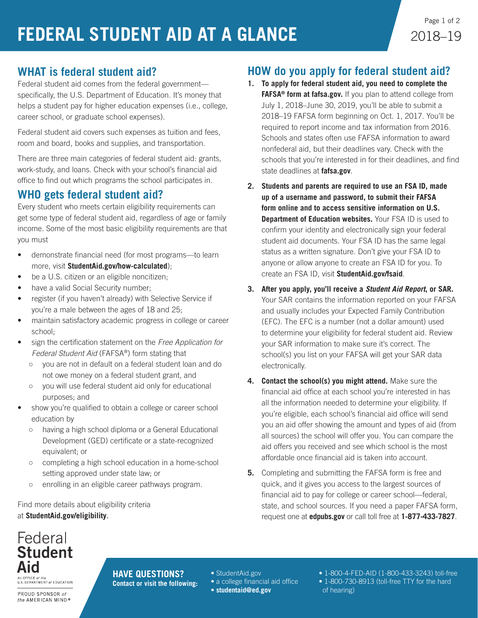## **WHAT is federal student aid?**

Federal student aid comes from the federal government specifically, the U.S. Department of Education. It's money that helps a student pay for higher education expenses (i.e., college, career school, or graduate school expenses).

Federal student aid covers such expenses as tuition and fees, room and board, books and supplies, and transportation.

There are three main categories of federal student aid: grants, work-study, and loans. Check with your school's financial aid office to find out which programs the school participates in.

### **WHO gets federal student aid?**

Every student who meets certain eligibility requirements can get some type of federal student aid, regardless of age or family income. Some of the most basic eligibility requirements are that you must

- demonstrate financial need (for most programs—to learn more, visit **[StudentAid.gov/how-calculated](https://studentaid.ed.gov/sa/fafsa/next-steps/how-calculated)**);
- be a U.S. citizen or an eligible noncitizen;
- have a valid Social Security number;
- register (if you haven't already) with Selective Service if you're a male between the ages of 18 and 25;
- maintain satisfactory academic progress in college or career school;
- sign the certification statement on the *Free Application for Federal Student Aid* (FAFSA®) form stating that
	- you are not in default on a federal student loan and do not owe money on a federal student grant, and
	- you will use federal student aid only for educational purposes; and
- show you're qualified to obtain a college or career school education by
	- having a high school diploma or a General Educational Development (GED) certificate or a state-recognized equivalent; or
	- completing a high school education in a home-school setting approved under state law; or
	- enrolling in an eligible career pathways program.

Find more details about eligibility criteria at **[StudentAid.gov/eligibility](https://studentaid.ed.gov/sa/eligibility)**.

### **HOW do you apply for federal student aid?**

- **1. To apply for federal student aid, you need to complete the FAFSA® form at [fafsa.gov](https://fafsa.gov).** If you plan to attend college from July 1, 2018–June 30, 2019, you'll be able to submit a 2018–19 FAFSA form beginning on Oct. 1, 2017. You'll be required to report income and tax information from 2016. Schools and states often use FAFSA information to award nonfederal aid, but their deadlines vary. Check with the schools that you're interested in for their deadlines, and find state deadlines at **[fafsa.gov](https://fafsa.gov)**.
- **2. Students and parents are required to use an FSA ID, made up of a username and password, to submit their FAFSA form online and to access sensitive information on U.S. Department of Education websites.** Your FSA ID is used to confirm your identity and electronically sign your federal student aid documents. Your FSA ID has the same legal status as a written signature. Don't give your FSA ID to anyone or allow anyone to create an FSA ID for you. To create an FSA ID, visit **[StudentAid.gov/fsaid](https://studentaid.ed.gov/sa/fafsa/filling-out/fsaid)**.
- **3. After you apply, you'll receive a** *Student Aid Report***, or SAR.** Your SAR contains the information reported on your FAFSA and usually includes your Expected Family Contribution (EFC). The EFC is a number (not a dollar amount) used to determine your eligibility for federal student aid. Review your SAR information to make sure it's correct. The school(s) you list on your FAFSA will get your SAR data electronically.
- **4. Contact the school(s) you might attend.** Make sure the financial aid office at each school you're interested in has all the information needed to determine your eligibility. If you're eligible, each school's financial aid office will send you an aid offer showing the amount and types of aid (from all sources) the school will offer you. You can compare the aid offers you received and see which school is the most affordable once financial aid is taken into account.
- **5.** Completing and submitting the FAFSA form is free and quick, and it gives you access to the largest sources of financial aid to pay for college or career school—federal, state, and school sources. If you need a paper FAFSA form, request one at **[edpubs.gov](https://www.edpubs.gov)** or call toll free at **1-877-433-7827**.

#### Federal **Student** Aid An OFFICE of the

U.S. DEPARTMENT of EDUCATION

PROUD SPONSOR of the AMERICAN MIND® **HAVE QUESTIONS? Contact or visit the following:**

- [StudentAid.gov](https://studentaid.ed.gov/sa/)
- a college financial aid office
- **[studentaid@ed.gov](mailto:studentaid%40ed.gov?subject=)**
- 1-800-4-FED-AID (1-800-433-3243) toll-free
- 1-800-730-8913 (toll-free TTY for the hard of hearing)